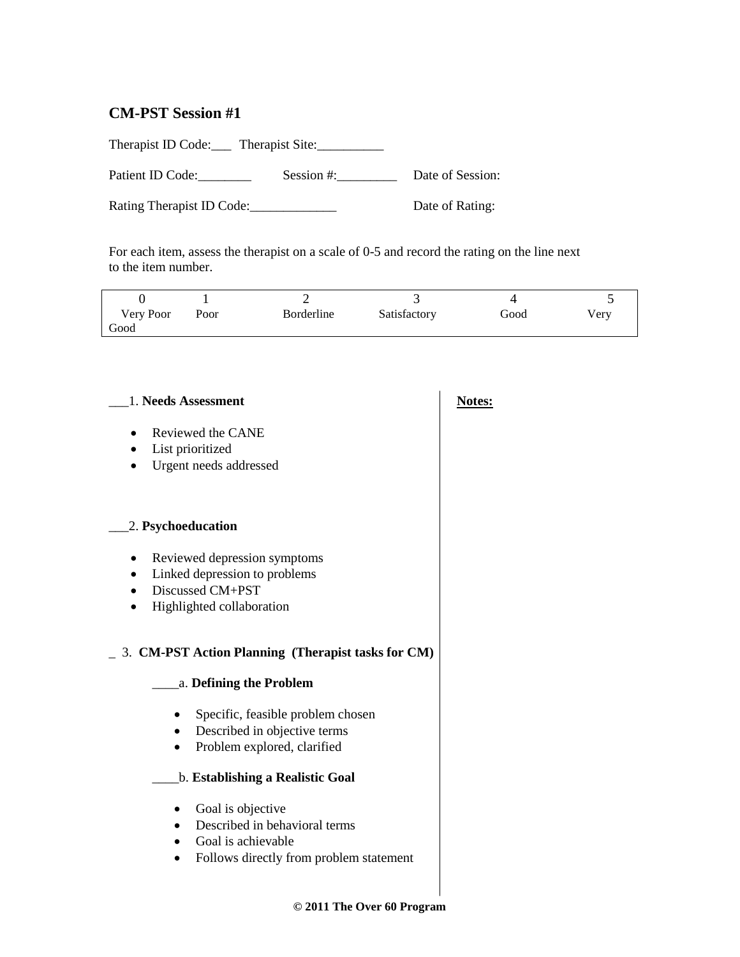# **CM-PST Session #1**

Therapist ID Code: Therapist Site: Patient ID Code: Session #: Session #: Date of Session:

Rating Therapist ID Code:\_\_\_\_\_\_\_\_\_\_\_\_\_ Date of Rating:

For each item, assess the therapist on a scale of 0-5 and record the rating on the line next to the item number.

| Very Poor | Poor | Borderline | Satisfactory | Good | v erv |
|-----------|------|------------|--------------|------|-------|
| Good      |      |            |              |      |       |

| 1. Needs Assessment                                                                                                         |  |  |
|-----------------------------------------------------------------------------------------------------------------------------|--|--|
| Reviewed the CANE<br>List prioritized<br>$\bullet$<br>Urgent needs addressed                                                |  |  |
| 2. Psychoeducation                                                                                                          |  |  |
| Reviewed depression symptoms<br>Linked depression to problems<br>Discussed CM+PST<br>$\bullet$<br>Highlighted collaboration |  |  |
| 3. CM-PST Action Planning (Therapist tasks for CM)<br>a. Defining the Problem                                               |  |  |
| Specific, feasible problem chosen<br>Described in objective terms<br>Problem explored, clarified<br>٠                       |  |  |
| b. Establishing a Realistic Goal                                                                                            |  |  |
| Goal is objective<br>Described in behavioral terms<br>Goal is achievable<br>Follows directly from problem statement         |  |  |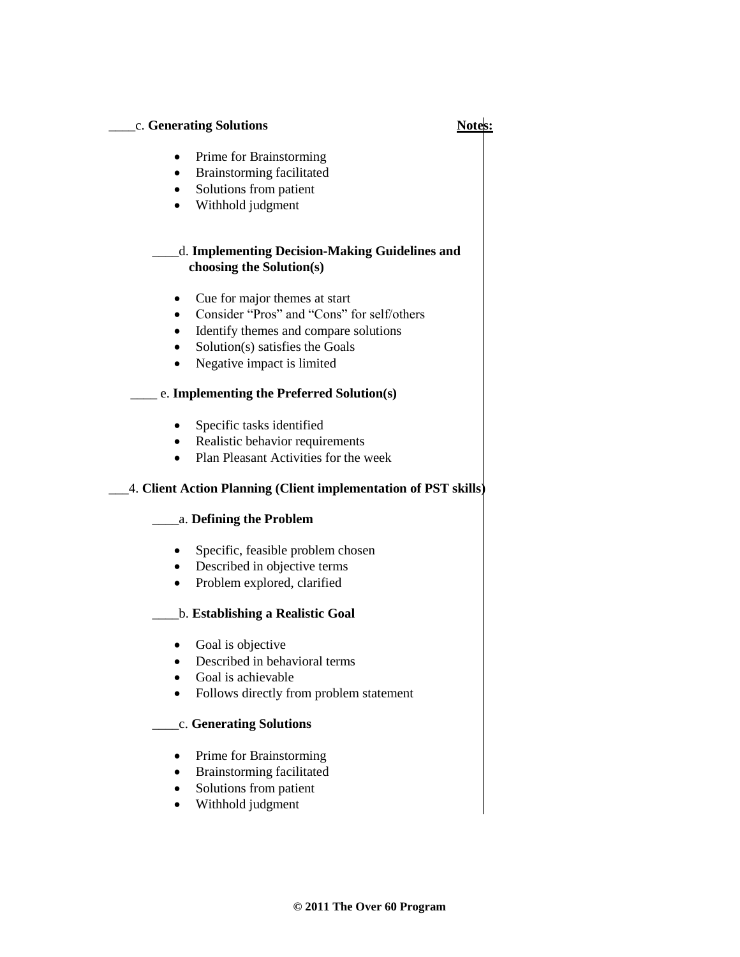#### \_\_\_\_c. **Generating Solutions Notes:**

- Prime for Brainstorming
- Brainstorming facilitated
- Solutions from patient
- Withhold judgment

## \_\_\_\_d. **Implementing Decision-Making Guidelines and choosing the Solution(s)**

- Cue for major themes at start
- Consider "Pros" and "Cons" for self/others
- Identify themes and compare solutions
- Solution(s) satisfies the Goals
- Negative impact is limited

# \_\_\_\_ e. **Implementing the Preferred Solution(s)**

- Specific tasks identified
- Realistic behavior requirements
- Plan Pleasant Activities for the week

# \_\_\_4. **Client Action Planning (Client implementation of PST skills)**

### \_\_\_\_a. **Defining the Problem**

- Specific, feasible problem chosen
- Described in objective terms
- Problem explored, clarified

### \_\_\_\_b. **Establishing a Realistic Goal**

- Goal is objective
- Described in behavioral terms
- Goal is achievable
- Follows directly from problem statement

### \_\_\_\_c. **Generating Solutions**

- Prime for Brainstorming
- Brainstorming facilitated
- Solutions from patient
- Withhold judgment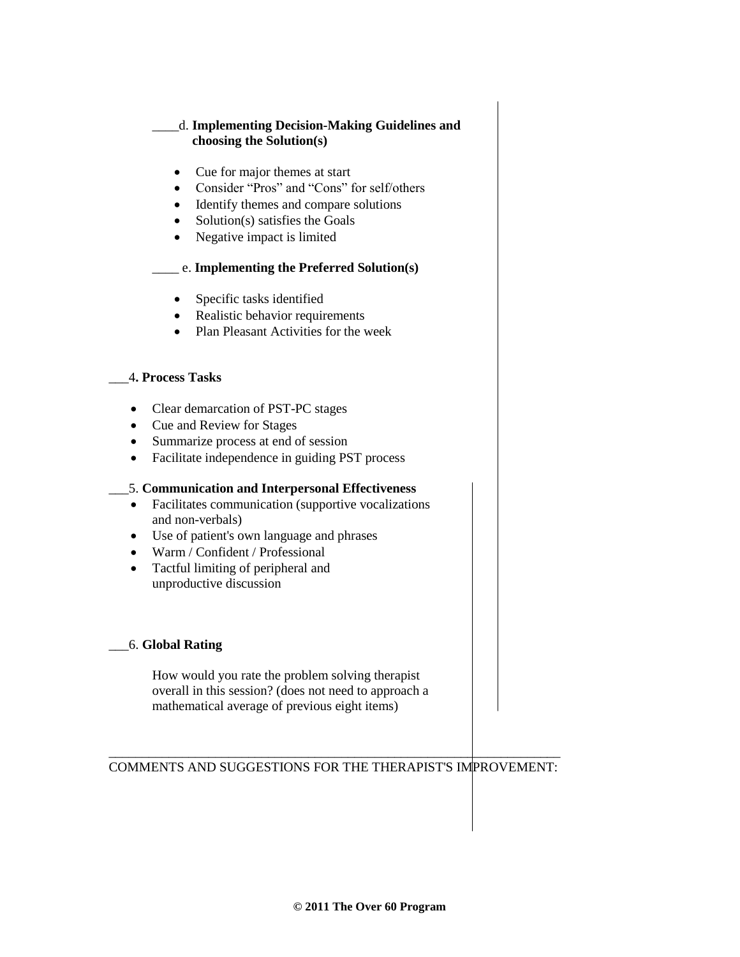# \_\_\_\_d. **Implementing Decision-Making Guidelines and choosing the Solution(s)**

- Cue for major themes at start
- Consider "Pros" and "Cons" for self/others
- Identify themes and compare solutions
- $\bullet$  Solution(s) satisfies the Goals
- Negative impact is limited

# \_\_\_\_ e. **Implementing the Preferred Solution(s)**

- Specific tasks identified
- Realistic behavior requirements
- Plan Pleasant Activities for the week

#### \_\_\_4**. Process Tasks**

- Clear demarcation of PST-PC stages
- Cue and Review for Stages
- Summarize process at end of session
- Facilitate independence in guiding PST process

### \_\_\_5. **Communication and Interpersonal Effectiveness**

- Facilitates communication (supportive vocalizations and non-verbals)
- Use of patient's own language and phrases
- Warm / Confident / Professional
- Tactful limiting of peripheral and unproductive discussion

### \_\_\_6. **Global Rating**

How would you rate the problem solving therapist overall in this session? (does not need to approach a mathematical average of previous eight items)

#### \_\_\_\_\_\_\_\_\_\_\_\_\_\_\_\_\_\_\_\_\_\_\_\_\_\_\_\_\_\_\_\_\_\_\_\_\_\_\_\_\_\_\_\_\_\_\_\_\_\_\_\_\_\_\_\_\_\_\_\_\_\_\_\_\_\_\_\_ COMMENTS AND SUGGESTIONS FOR THE THERAPIST'S IMPROVEMENT: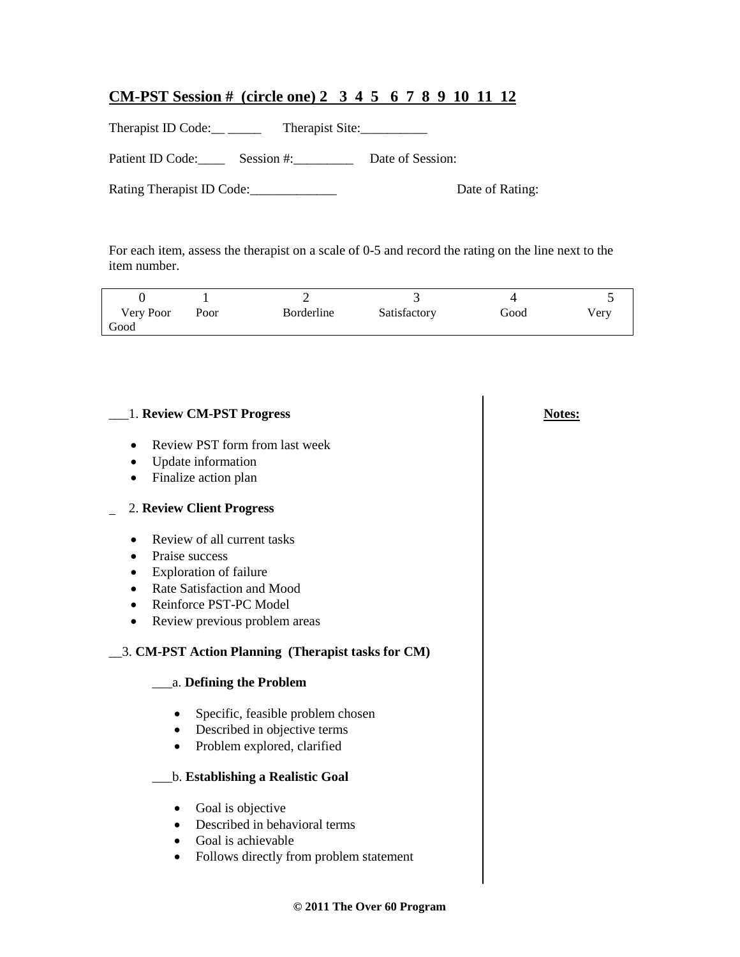# **CM-PST Session # (circle one) 2 3 4 5 6 7 8 9 10 11 12**

Therapist ID Code: \_\_ \_\_\_\_\_ Therapist Site: \_\_\_\_\_\_\_\_\_\_

Patient ID Code: Session #: Date of Session:

Rating Therapist ID Code:\_\_\_\_\_\_\_\_\_\_\_\_\_ Date of Rating:

For each item, assess the therapist on a scale of 0-5 and record the rating on the line next to the item number.

| Very Poor | Poor | Borderline | Satisfactory | Good | Very |
|-----------|------|------------|--------------|------|------|
| Good      |      |            |              |      |      |

| 1. Review CM-PST Progress                            | <b>Notes:</b> |
|------------------------------------------------------|---------------|
| Review PST form from last week                       |               |
| Update information<br>$\bullet$                      |               |
| Finalize action plan                                 |               |
| 2. Review Client Progress                            |               |
| Review of all current tasks                          |               |
| Praise success                                       |               |
| <b>Exploration of failure</b>                        |               |
| Rate Satisfaction and Mood                           |               |
| Reinforce PST-PC Model<br>$\bullet$                  |               |
| Review previous problem areas                        |               |
| 3. CM-PST Action Planning (Therapist tasks for CM)   |               |
| a. Defining the Problem                              |               |
| Specific, feasible problem chosen                    |               |
| Described in objective terms<br>٠                    |               |
| Problem explored, clarified<br>$\bullet$             |               |
| b. Establishing a Realistic Goal                     |               |
| Goal is objective                                    |               |
| Described in behavioral terms                        |               |
| Goal is achievable                                   |               |
| Follows directly from problem statement<br>$\bullet$ |               |
|                                                      |               |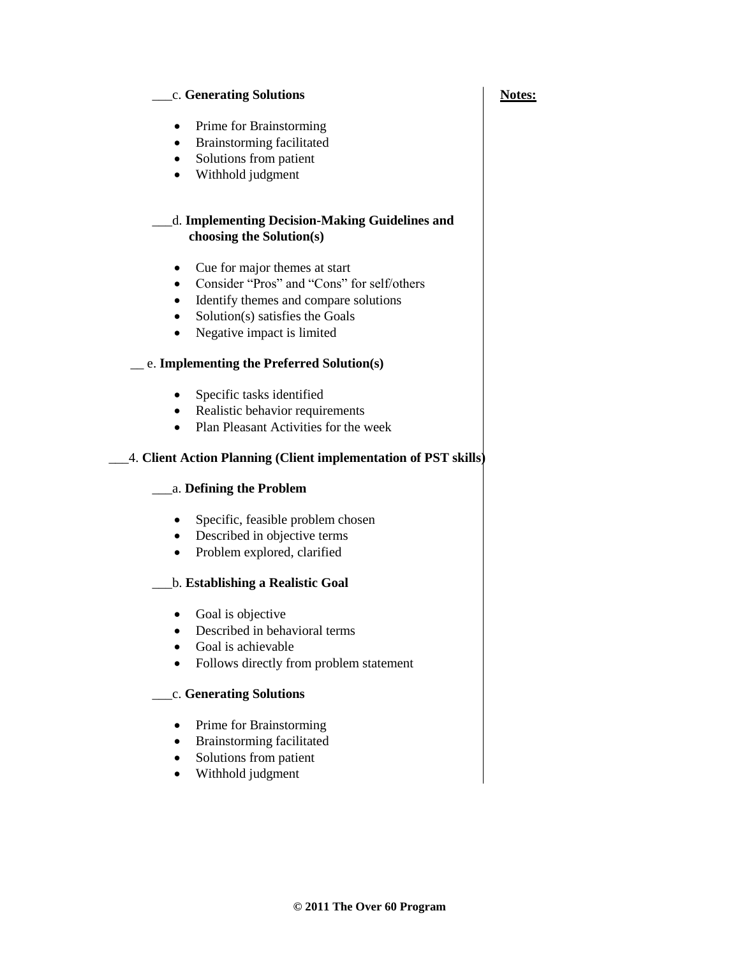#### c. Generating Solutions **Notes:**

- Prime for Brainstorming
- Brainstorming facilitated
- Solutions from patient
- Withhold judgment

#### \_\_\_d. **Implementing Decision-Making Guidelines and choosing the Solution(s)**

- Cue for major themes at start
- Consider "Pros" and "Cons" for self/others
- Identify themes and compare solutions
- Solution(s) satisfies the Goals
- Negative impact is limited

### \_\_ e. **Implementing the Preferred Solution(s)**

- Specific tasks identified
- Realistic behavior requirements
- Plan Pleasant Activities for the week

# \_\_\_4. **Client Action Planning (Client implementation of PST skills)**

### \_\_\_a. **Defining the Problem**

- Specific, feasible problem chosen
- Described in objective terms
- Problem explored, clarified

### \_\_\_b. **Establishing a Realistic Goal**

- Goal is objective
- Described in behavioral terms
- Goal is achievable
- Follows directly from problem statement

### \_\_\_c. **Generating Solutions**

- Prime for Brainstorming
- Brainstorming facilitated
- Solutions from patient
- Withhold judgment